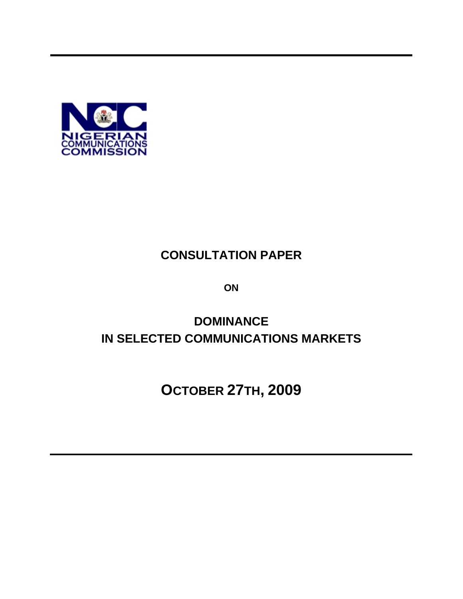

# **CONSULTATION PAPER**

**ON**

# **DOMINANCE IN SELECTED COMMUNICATIONS MARKETS**

**OCTOBER 27TH, 2009**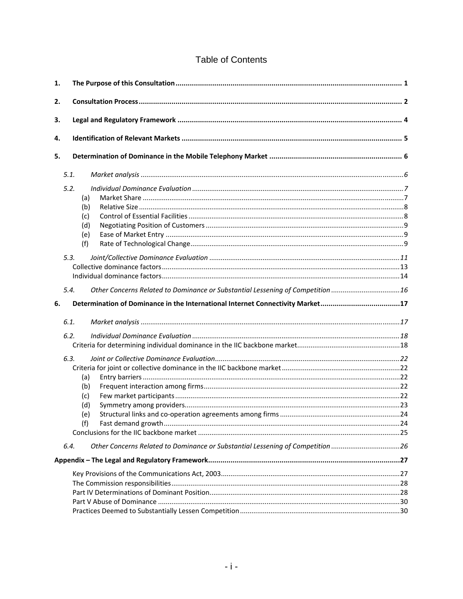## **Table of Contents**

| 1. |      |                                                                                |  |  |  |  |
|----|------|--------------------------------------------------------------------------------|--|--|--|--|
| 2. |      |                                                                                |  |  |  |  |
| 3. |      |                                                                                |  |  |  |  |
| 4. |      |                                                                                |  |  |  |  |
| 5. |      |                                                                                |  |  |  |  |
|    | 5.1. |                                                                                |  |  |  |  |
|    | 5.2. | (a)<br>(b)<br>(c)<br>(d)<br>(e)                                                |  |  |  |  |
|    | 5.3. | (f)                                                                            |  |  |  |  |
|    |      |                                                                                |  |  |  |  |
|    | 5.4. | Other Concerns Related to Dominance or Substantial Lessening of Competition 16 |  |  |  |  |
| 6. |      | Determination of Dominance in the International Internet Connectivity Market17 |  |  |  |  |
|    | 6.1. |                                                                                |  |  |  |  |
|    | 6.2. |                                                                                |  |  |  |  |
|    | 6.3. |                                                                                |  |  |  |  |
|    |      | (a)                                                                            |  |  |  |  |
|    |      | (b)                                                                            |  |  |  |  |
|    |      | (c)                                                                            |  |  |  |  |
|    |      | (d)                                                                            |  |  |  |  |
|    |      | (e)<br>(f)                                                                     |  |  |  |  |
|    |      |                                                                                |  |  |  |  |
|    | 6.4. | Other Concerns Related to Dominance or Substantial Lessening of Competition 26 |  |  |  |  |
|    |      |                                                                                |  |  |  |  |
|    |      |                                                                                |  |  |  |  |
|    |      |                                                                                |  |  |  |  |
|    |      |                                                                                |  |  |  |  |
|    |      |                                                                                |  |  |  |  |
|    |      |                                                                                |  |  |  |  |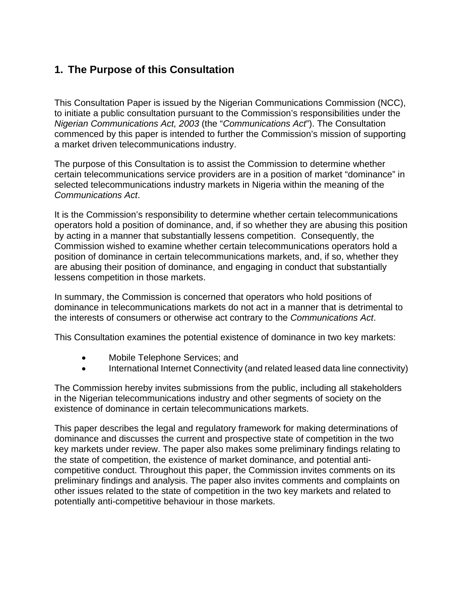# **1. The Purpose of this Consultation**

This Consultation Paper is issued by the Nigerian Communications Commission (NCC), to initiate a public consultation pursuant to the Commission's responsibilities under the *Nigerian Communications Act, 2003* (the "*Communications Act*"). The Consultation commenced by this paper is intended to further the Commission's mission of supporting a market driven telecommunications industry.

The purpose of this Consultation is to assist the Commission to determine whether certain telecommunications service providers are in a position of market "dominance" in selected telecommunications industry markets in Nigeria within the meaning of the *Communications Act*.

It is the Commission's responsibility to determine whether certain telecommunications operators hold a position of dominance, and, if so whether they are abusing this position by acting in a manner that substantially lessens competition. Consequently, the Commission wished to examine whether certain telecommunications operators hold a position of dominance in certain telecommunications markets, and, if so, whether they are abusing their position of dominance, and engaging in conduct that substantially lessens competition in those markets.

In summary, the Commission is concerned that operators who hold positions of dominance in telecommunications markets do not act in a manner that is detrimental to the interests of consumers or otherwise act contrary to the *Communications Act*.

This Consultation examines the potential existence of dominance in two key markets:

- Mobile Telephone Services; and
- International Internet Connectivity (and related leased data line connectivity)

The Commission hereby invites submissions from the public, including all stakeholders in the Nigerian telecommunications industry and other segments of society on the existence of dominance in certain telecommunications markets.

This paper describes the legal and regulatory framework for making determinations of dominance and discusses the current and prospective state of competition in the two key markets under review. The paper also makes some preliminary findings relating to the state of competition, the existence of market dominance, and potential anticompetitive conduct. Throughout this paper, the Commission invites comments on its preliminary findings and analysis. The paper also invites comments and complaints on other issues related to the state of competition in the two key markets and related to potentially anti-competitive behaviour in those markets.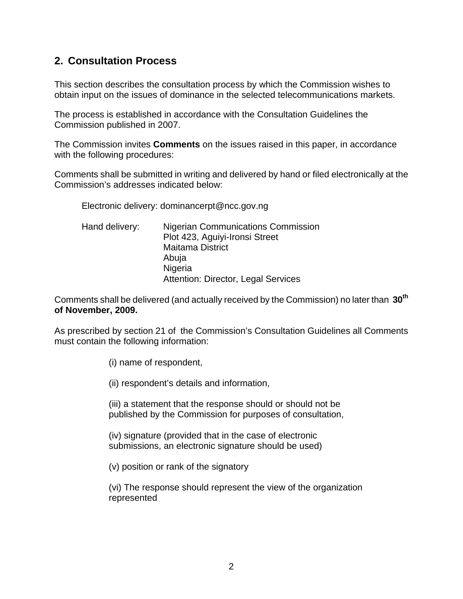# **2. Consultation Process**

This section describes the consultation process by which the Commission wishes to obtain input on the issues of dominance in the selected telecommunications markets.

The process is established in accordance with the Consultation Guidelines the Commission published in 2007.

The Commission invites **Comments** on the issues raised in this paper, in accordance with the following procedures:

Comments shall be submitted in writing and delivered by hand or filed electronically at the Commission's addresses indicated below:

Electronic delivery: dominancerpt@ncc.gov.ng

Hand delivery: Nigerian Communications Commission Plot 423, Aguiyi-Ironsi Street Maitama District Abuja Nigeria Attention: Director, Legal Services

Comments shall be delivered (and actually received by the Commission) no later than **30th of November, 2009.** 

As prescribed by section 21 of the Commission's Consultation Guidelines all Comments must contain the following information:

(i) name of respondent,

(ii) respondent's details and information,

(iii) a statement that the response should or should not be published by the Commission for purposes of consultation,

(iv) signature (provided that in the case of electronic submissions, an electronic signature should be used)

(v) position or rank of the signatory

(vi) The response should represent the view of the organization represented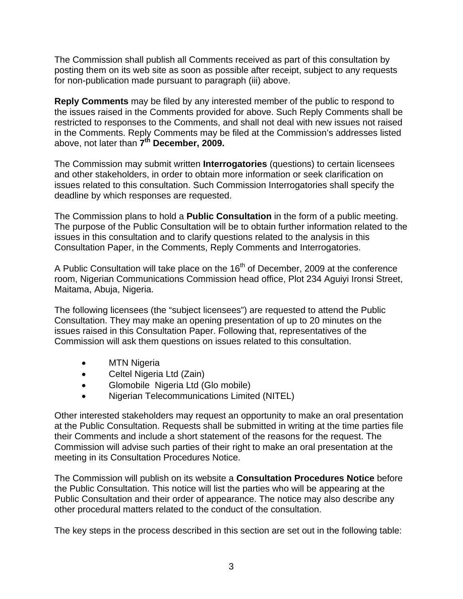The Commission shall publish all Comments received as part of this consultation by posting them on its web site as soon as possible after receipt, subject to any requests for non-publication made pursuant to paragraph (iii) above.

**Reply Comments** may be filed by any interested member of the public to respond to the issues raised in the Comments provided for above. Such Reply Comments shall be restricted to responses to the Comments, and shall not deal with new issues not raised in the Comments. Reply Comments may be filed at the Commission's addresses listed above, not later than **7th December, 2009.** 

The Commission may submit written **Interrogatories** (questions) to certain licensees and other stakeholders, in order to obtain more information or seek clarification on issues related to this consultation. Such Commission Interrogatories shall specify the deadline by which responses are requested.

The Commission plans to hold a **Public Consultation** in the form of a public meeting. The purpose of the Public Consultation will be to obtain further information related to the issues in this consultation and to clarify questions related to the analysis in this Consultation Paper, in the Comments, Reply Comments and Interrogatories.

A Public Consultation will take place on the  $16<sup>th</sup>$  of December, 2009 at the conference room, Nigerian Communications Commission head office, Plot 234 Aguiyi Ironsi Street, Maitama, Abuja, Nigeria.

The following licensees (the "subject licensees") are requested to attend the Public Consultation. They may make an opening presentation of up to 20 minutes on the issues raised in this Consultation Paper. Following that, representatives of the Commission will ask them questions on issues related to this consultation.

- **MTN Nigeria**
- Celtel Nigeria Ltd (Zain)
- Glomobile Nigeria Ltd (Glo mobile)
- Nigerian Telecommunications Limited (NITEL)

Other interested stakeholders may request an opportunity to make an oral presentation at the Public Consultation. Requests shall be submitted in writing at the time parties file their Comments and include a short statement of the reasons for the request. The Commission will advise such parties of their right to make an oral presentation at the meeting in its Consultation Procedures Notice.

The Commission will publish on its website a **Consultation Procedures Notice** before the Public Consultation. This notice will list the parties who will be appearing at the Public Consultation and their order of appearance. The notice may also describe any other procedural matters related to the conduct of the consultation.

The key steps in the process described in this section are set out in the following table: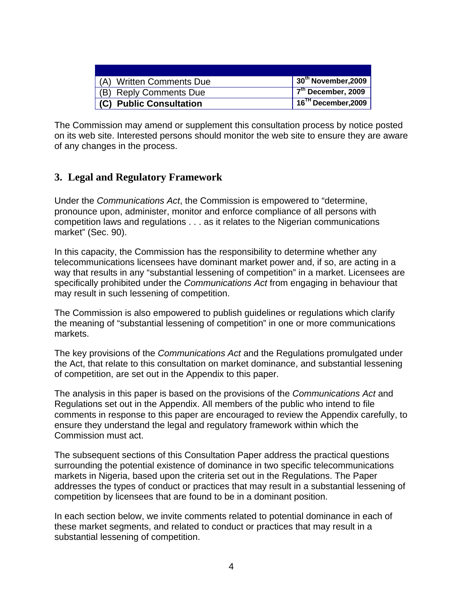| (A) Written Comments Due       | $\,$ 30 $^{\rm th}$ November,2009 $\,$ |
|--------------------------------|----------------------------------------|
| (B) Reply Comments Due         | $\sqrt{7^{th}}$ December, 2009         |
| <b>(C) Public Consultation</b> | $16TH$ December, 2009                  |

The Commission may amend or supplement this consultation process by notice posted on its web site. Interested persons should monitor the web site to ensure they are aware of any changes in the process.

## **3. Legal and Regulatory Framework**

Under the *Communications Act*, the Commission is empowered to "determine, pronounce upon, administer, monitor and enforce compliance of all persons with competition laws and regulations . . . as it relates to the Nigerian communications market" (Sec. 90).

In this capacity, the Commission has the responsibility to determine whether any telecommunications licensees have dominant market power and, if so, are acting in a way that results in any "substantial lessening of competition" in a market. Licensees are specifically prohibited under the *Communications Act* from engaging in behaviour that may result in such lessening of competition.

The Commission is also empowered to publish guidelines or regulations which clarify the meaning of "substantial lessening of competition" in one or more communications markets.

The key provisions of the *Communications Act* and the Regulations promulgated under the Act, that relate to this consultation on market dominance, and substantial lessening of competition, are set out in the Appendix to this paper.

The analysis in this paper is based on the provisions of the *Communications Act* and Regulations set out in the Appendix. All members of the public who intend to file comments in response to this paper are encouraged to review the Appendix carefully, to ensure they understand the legal and regulatory framework within which the Commission must act.

The subsequent sections of this Consultation Paper address the practical questions surrounding the potential existence of dominance in two specific telecommunications markets in Nigeria, based upon the criteria set out in the Regulations. The Paper addresses the types of conduct or practices that may result in a substantial lessening of competition by licensees that are found to be in a dominant position.

In each section below, we invite comments related to potential dominance in each of these market segments, and related to conduct or practices that may result in a substantial lessening of competition.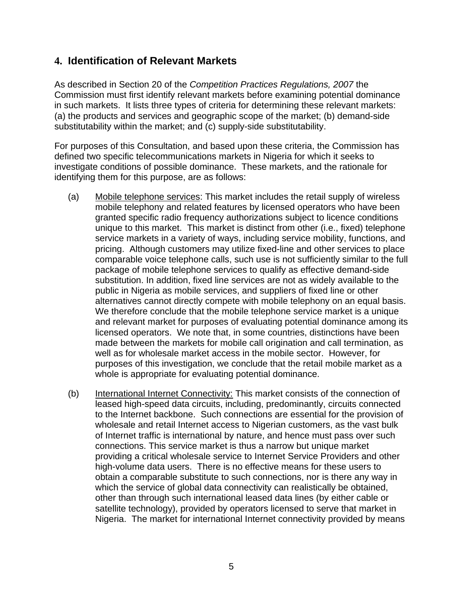## **4. Identification of Relevant Markets**

As described in Section 20 of the *Competition Practices Regulations, 2007* the Commission must first identify relevant markets before examining potential dominance in such markets. It lists three types of criteria for determining these relevant markets: (a) the products and services and geographic scope of the market; (b) demand-side substitutability within the market; and (c) supply-side substitutability.

For purposes of this Consultation, and based upon these criteria, the Commission has defined two specific telecommunications markets in Nigeria for which it seeks to investigate conditions of possible dominance. These markets, and the rationale for identifying them for this purpose, are as follows:

- (a) Mobile telephone services: This market includes the retail supply of wireless mobile telephony and related features by licensed operators who have been granted specific radio frequency authorizations subject to licence conditions unique to this market. This market is distinct from other (i.e., fixed) telephone service markets in a variety of ways, including service mobility, functions, and pricing. Although customers may utilize fixed-line and other services to place comparable voice telephone calls, such use is not sufficiently similar to the full package of mobile telephone services to qualify as effective demand-side substitution. In addition, fixed line services are not as widely available to the public in Nigeria as mobile services, and suppliers of fixed line or other alternatives cannot directly compete with mobile telephony on an equal basis. We therefore conclude that the mobile telephone service market is a unique and relevant market for purposes of evaluating potential dominance among its licensed operators. We note that, in some countries, distinctions have been made between the markets for mobile call origination and call termination, as well as for wholesale market access in the mobile sector. However, for purposes of this investigation, we conclude that the retail mobile market as a whole is appropriate for evaluating potential dominance.
- (b) International Internet Connectivity: This market consists of the connection of leased high-speed data circuits, including, predominantly, circuits connected to the Internet backbone. Such connections are essential for the provision of wholesale and retail Internet access to Nigerian customers, as the vast bulk of Internet traffic is international by nature, and hence must pass over such connections. This service market is thus a narrow but unique market providing a critical wholesale service to Internet Service Providers and other high-volume data users. There is no effective means for these users to obtain a comparable substitute to such connections, nor is there any way in which the service of global data connectivity can realistically be obtained, other than through such international leased data lines (by either cable or satellite technology), provided by operators licensed to serve that market in Nigeria. The market for international Internet connectivity provided by means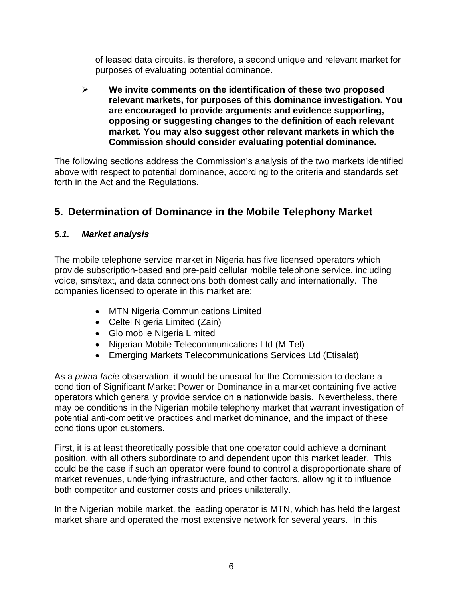of leased data circuits, is therefore, a second unique and relevant market for purposes of evaluating potential dominance.

¾ **We invite comments on the identification of these two proposed relevant markets, for purposes of this dominance investigation. You are encouraged to provide arguments and evidence supporting, opposing or suggesting changes to the definition of each relevant market. You may also suggest other relevant markets in which the Commission should consider evaluating potential dominance.** 

The following sections address the Commission's analysis of the two markets identified above with respect to potential dominance, according to the criteria and standards set forth in the Act and the Regulations.

# **5. Determination of Dominance in the Mobile Telephony Market**

## *5.1. Market analysis*

The mobile telephone service market in Nigeria has five licensed operators which provide subscription-based and pre-paid cellular mobile telephone service, including voice, sms/text, and data connections both domestically and internationally. The companies licensed to operate in this market are:

- MTN Nigeria Communications Limited
- Celtel Nigeria Limited (Zain)
- Glo mobile Nigeria Limited
- Nigerian Mobile Telecommunications Ltd (M-Tel)
- Emerging Markets Telecommunications Services Ltd (Etisalat)

As a *prima facie* observation, it would be unusual for the Commission to declare a condition of Significant Market Power or Dominance in a market containing five active operators which generally provide service on a nationwide basis. Nevertheless, there may be conditions in the Nigerian mobile telephony market that warrant investigation of potential anti-competitive practices and market dominance, and the impact of these conditions upon customers.

First, it is at least theoretically possible that one operator could achieve a dominant position, with all others subordinate to and dependent upon this market leader. This could be the case if such an operator were found to control a disproportionate share of market revenues, underlying infrastructure, and other factors, allowing it to influence both competitor and customer costs and prices unilaterally.

In the Nigerian mobile market, the leading operator is MTN, which has held the largest market share and operated the most extensive network for several years. In this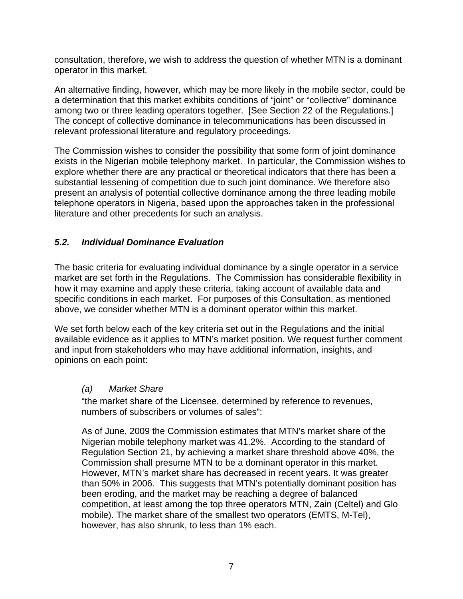consultation, therefore, we wish to address the question of whether MTN is a dominant operator in this market.

An alternative finding, however, which may be more likely in the mobile sector, could be a determination that this market exhibits conditions of "joint" or "collective" dominance among two or three leading operators together. [See Section 22 of the Regulations.] The concept of collective dominance in telecommunications has been discussed in relevant professional literature and regulatory proceedings.

The Commission wishes to consider the possibility that some form of joint dominance exists in the Nigerian mobile telephony market. In particular, the Commission wishes to explore whether there are any practical or theoretical indicators that there has been a substantial lessening of competition due to such joint dominance. We therefore also present an analysis of potential collective dominance among the three leading mobile telephone operators in Nigeria, based upon the approaches taken in the professional literature and other precedents for such an analysis.

## *5.2. Individual Dominance Evaluation*

The basic criteria for evaluating individual dominance by a single operator in a service market are set forth in the Regulations. The Commission has considerable flexibility in how it may examine and apply these criteria, taking account of available data and specific conditions in each market. For purposes of this Consultation, as mentioned above, we consider whether MTN is a dominant operator within this market.

We set forth below each of the key criteria set out in the Regulations and the initial available evidence as it applies to MTN's market position. We request further comment and input from stakeholders who may have additional information, insights, and opinions on each point:

#### *(a) Market Share*

 "the market share of the Licensee, determined by reference to revenues, numbers of subscribers or volumes of sales":

As of June, 2009 the Commission estimates that MTN's market share of the Nigerian mobile telephony market was 41.2%. According to the standard of Regulation Section 21, by achieving a market share threshold above 40%, the Commission shall presume MTN to be a dominant operator in this market. However, MTN's market share has decreased in recent years. It was greater than 50% in 2006. This suggests that MTN's potentially dominant position has been eroding, and the market may be reaching a degree of balanced competition, at least among the top three operators MTN, Zain (Celtel) and Glo mobile). The market share of the smallest two operators (EMTS, M-Tel), however, has also shrunk, to less than 1% each.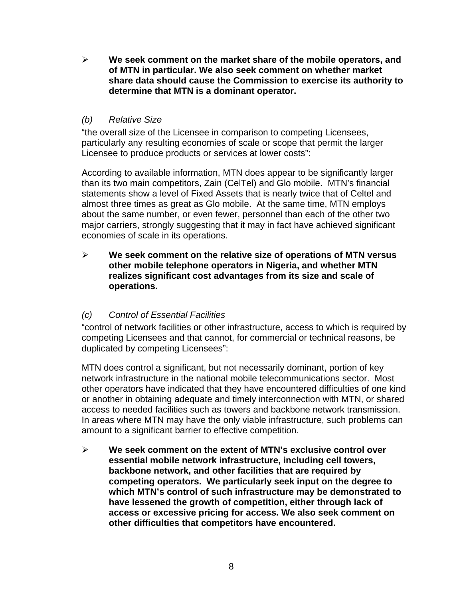¾ **We seek comment on the market share of the mobile operators, and of MTN in particular. We also seek comment on whether market share data should cause the Commission to exercise its authority to determine that MTN is a dominant operator.** 

#### *(b) Relative Size*

 "the overall size of the Licensee in comparison to competing Licensees, particularly any resulting economies of scale or scope that permit the larger Licensee to produce products or services at lower costs":

 According to available information, MTN does appear to be significantly larger than its two main competitors, Zain (CelTel) and Glo mobile. MTN's financial statements show a level of Fixed Assets that is nearly twice that of Celtel and almost three times as great as Glo mobile. At the same time, MTN employs about the same number, or even fewer, personnel than each of the other two major carriers, strongly suggesting that it may in fact have achieved significant economies of scale in its operations.

¾ **We seek comment on the relative size of operations of MTN versus other mobile telephone operators in Nigeria, and whether MTN realizes significant cost advantages from its size and scale of operations.** 

## *(c) Control of Essential Facilities*

"control of network facilities or other infrastructure, access to which is required by competing Licensees and that cannot, for commercial or technical reasons, be duplicated by competing Licensees":

MTN does control a significant, but not necessarily dominant, portion of key network infrastructure in the national mobile telecommunications sector. Most other operators have indicated that they have encountered difficulties of one kind or another in obtaining adequate and timely interconnection with MTN, or shared access to needed facilities such as towers and backbone network transmission. In areas where MTN may have the only viable infrastructure, such problems can amount to a significant barrier to effective competition.

¾ **We seek comment on the extent of MTN's exclusive control over essential mobile network infrastructure, including cell towers, backbone network, and other facilities that are required by competing operators. We particularly seek input on the degree to which MTN's control of such infrastructure may be demonstrated to have lessened the growth of competition, either through lack of access or excessive pricing for access. We also seek comment on other difficulties that competitors have encountered.**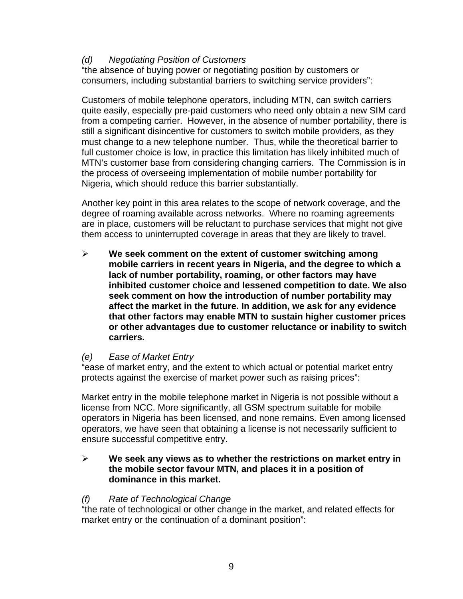#### *(d) Negotiating Position of Customers*

"the absence of buying power or negotiating position by customers or consumers, including substantial barriers to switching service providers":

 Customers of mobile telephone operators, including MTN, can switch carriers quite easily, especially pre-paid customers who need only obtain a new SIM card from a competing carrier. However, in the absence of number portability, there is still a significant disincentive for customers to switch mobile providers, as they must change to a new telephone number. Thus, while the theoretical barrier to full customer choice is low, in practice this limitation has likely inhibited much of MTN's customer base from considering changing carriers. The Commission is in the process of overseeing implementation of mobile number portability for Nigeria, which should reduce this barrier substantially.

Another key point in this area relates to the scope of network coverage, and the degree of roaming available across networks. Where no roaming agreements are in place, customers will be reluctant to purchase services that might not give them access to uninterrupted coverage in areas that they are likely to travel.

¾ **We seek comment on the extent of customer switching among mobile carriers in recent years in Nigeria, and the degree to which a lack of number portability, roaming, or other factors may have inhibited customer choice and lessened competition to date. We also seek comment on how the introduction of number portability may affect the market in the future. In addition, we ask for any evidence that other factors may enable MTN to sustain higher customer prices or other advantages due to customer reluctance or inability to switch carriers.** 

#### *(e) Ease of Market Entry*

"ease of market entry, and the extent to which actual or potential market entry protects against the exercise of market power such as raising prices":

 Market entry in the mobile telephone market in Nigeria is not possible without a license from NCC. More significantly, all GSM spectrum suitable for mobile operators in Nigeria has been licensed, and none remains. Even among licensed operators, we have seen that obtaining a license is not necessarily sufficient to ensure successful competitive entry.

#### ¾ **We seek any views as to whether the restrictions on market entry in the mobile sector favour MTN, and places it in a position of dominance in this market.**

#### *(f) Rate of Technological Change*

"the rate of technological or other change in the market, and related effects for market entry or the continuation of a dominant position":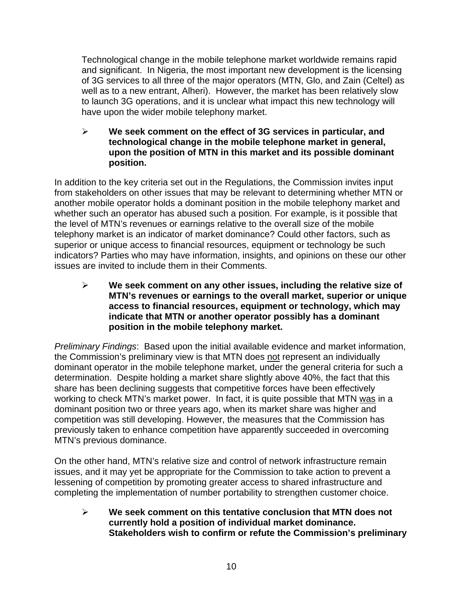Technological change in the mobile telephone market worldwide remains rapid and significant. In Nigeria, the most important new development is the licensing of 3G services to all three of the major operators (MTN, Glo, and Zain (Celtel) as well as to a new entrant, Alheri). However, the market has been relatively slow to launch 3G operations, and it is unclear what impact this new technology will have upon the wider mobile telephony market.

¾ **We seek comment on the effect of 3G services in particular, and technological change in the mobile telephone market in general, upon the position of MTN in this market and its possible dominant position.**

In addition to the key criteria set out in the Regulations, the Commission invites input from stakeholders on other issues that may be relevant to determining whether MTN or another mobile operator holds a dominant position in the mobile telephony market and whether such an operator has abused such a position. For example, is it possible that the level of MTN's revenues or earnings relative to the overall size of the mobile telephony market is an indicator of market dominance? Could other factors, such as superior or unique access to financial resources, equipment or technology be such indicators? Parties who may have information, insights, and opinions on these our other issues are invited to include them in their Comments.

¾ **We seek comment on any other issues, including the relative size of MTN's revenues or earnings to the overall market, superior or unique access to financial resources, equipment or technology, which may indicate that MTN or another operator possibly has a dominant position in the mobile telephony market.**

*Preliminary Findings*: Based upon the initial available evidence and market information, the Commission's preliminary view is that MTN does not represent an individually dominant operator in the mobile telephone market, under the general criteria for such a determination. Despite holding a market share slightly above 40%, the fact that this share has been declining suggests that competitive forces have been effectively working to check MTN's market power. In fact, it is quite possible that MTN was in a dominant position two or three years ago, when its market share was higher and competition was still developing. However, the measures that the Commission has previously taken to enhance competition have apparently succeeded in overcoming MTN's previous dominance.

On the other hand, MTN's relative size and control of network infrastructure remain issues, and it may yet be appropriate for the Commission to take action to prevent a lessening of competition by promoting greater access to shared infrastructure and completing the implementation of number portability to strengthen customer choice.

¾ **We seek comment on this tentative conclusion that MTN does not currently hold a position of individual market dominance. Stakeholders wish to confirm or refute the Commission's preliminary**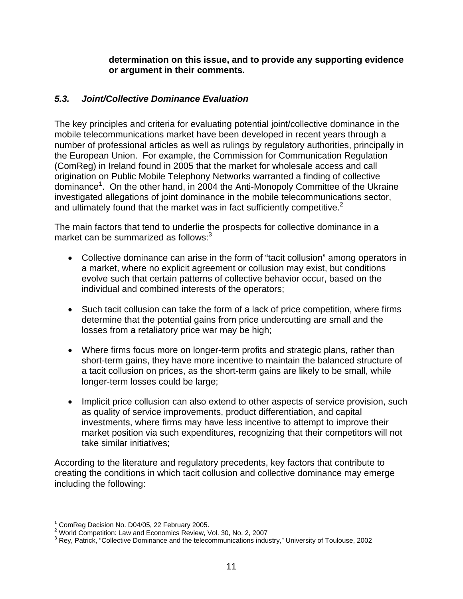**determination on this issue, and to provide any supporting evidence or argument in their comments.** 

## *5.3. Joint/Collective Dominance Evaluation*

The key principles and criteria for evaluating potential joint/collective dominance in the mobile telecommunications market have been developed in recent years through a number of professional articles as well as rulings by regulatory authorities, principally in the European Union. For example, the Commission for Communication Regulation (ComReg) in Ireland found in 2005 that the market for wholesale access and call origination on Public Mobile Telephony Networks warranted a finding of collective dominance<sup>1</sup>. On the other hand, in 2004 the Anti-Monopoly Committee of the Ukraine investigated allegations of joint dominance in the mobile telecommunications sector, and ultimately found that the market was in fact sufficiently competitive.<sup>2</sup>

The main factors that tend to underlie the prospects for collective dominance in a market can be summarized as follows: $3$ 

- Collective dominance can arise in the form of "tacit collusion" among operators in a market, where no explicit agreement or collusion may exist, but conditions evolve such that certain patterns of collective behavior occur, based on the individual and combined interests of the operators;
- Such tacit collusion can take the form of a lack of price competition, where firms determine that the potential gains from price undercutting are small and the losses from a retaliatory price war may be high;
- Where firms focus more on longer-term profits and strategic plans, rather than short-term gains, they have more incentive to maintain the balanced structure of a tacit collusion on prices, as the short-term gains are likely to be small, while longer-term losses could be large;
- Implicit price collusion can also extend to other aspects of service provision, such as quality of service improvements, product differentiation, and capital investments, where firms may have less incentive to attempt to improve their market position via such expenditures, recognizing that their competitors will not take similar initiatives;

According to the literature and regulatory precedents, key factors that contribute to creating the conditions in which tacit collusion and collective dominance may emerge including the following:

 $\overline{a}$ 1 ComReg Decision No. D04/05, 22 February 2005.

<sup>&</sup>lt;sup>2</sup> World Competition: Law and Economics Review, Vol. 30, No. 2, 2007<br><sup>3</sup> Ray, Retriek, "Collective Deminerace and the telecommunications indust

<sup>&</sup>lt;sup>3</sup> Rey, Patrick, "Collective Dominance and the telecommunications industry," University of Toulouse, 2002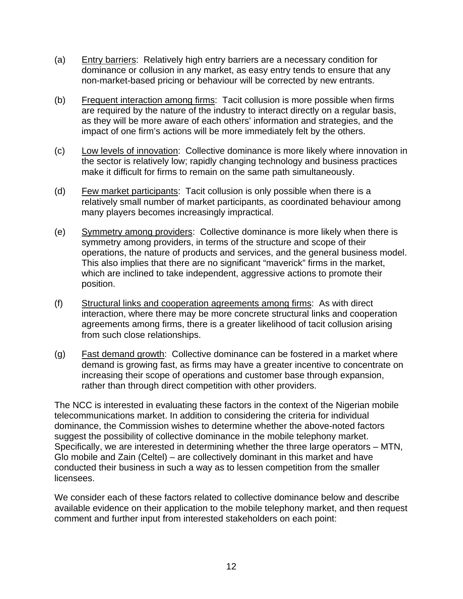- (a) Entry barriers: Relatively high entry barriers are a necessary condition for dominance or collusion in any market, as easy entry tends to ensure that any non-market-based pricing or behaviour will be corrected by new entrants.
- (b) Frequent interaction among firms: Tacit collusion is more possible when firms are required by the nature of the industry to interact directly on a regular basis, as they will be more aware of each others' information and strategies, and the impact of one firm's actions will be more immediately felt by the others.
- (c) Low levels of innovation: Collective dominance is more likely where innovation in the sector is relatively low; rapidly changing technology and business practices make it difficult for firms to remain on the same path simultaneously.
- (d) Few market participants: Tacit collusion is only possible when there is a relatively small number of market participants, as coordinated behaviour among many players becomes increasingly impractical.
- (e) Symmetry among providers: Collective dominance is more likely when there is symmetry among providers, in terms of the structure and scope of their operations, the nature of products and services, and the general business model. This also implies that there are no significant "maverick" firms in the market, which are inclined to take independent, aggressive actions to promote their position.
- (f) Structural links and cooperation agreements among firms: As with direct interaction, where there may be more concrete structural links and cooperation agreements among firms, there is a greater likelihood of tacit collusion arising from such close relationships.
- (g) Fast demand growth: Collective dominance can be fostered in a market where demand is growing fast, as firms may have a greater incentive to concentrate on increasing their scope of operations and customer base through expansion, rather than through direct competition with other providers.

The NCC is interested in evaluating these factors in the context of the Nigerian mobile telecommunications market. In addition to considering the criteria for individual dominance, the Commission wishes to determine whether the above-noted factors suggest the possibility of collective dominance in the mobile telephony market. Specifically, we are interested in determining whether the three large operators – MTN, Glo mobile and Zain (Celtel) – are collectively dominant in this market and have conducted their business in such a way as to lessen competition from the smaller licensees.

We consider each of these factors related to collective dominance below and describe available evidence on their application to the mobile telephony market, and then request comment and further input from interested stakeholders on each point: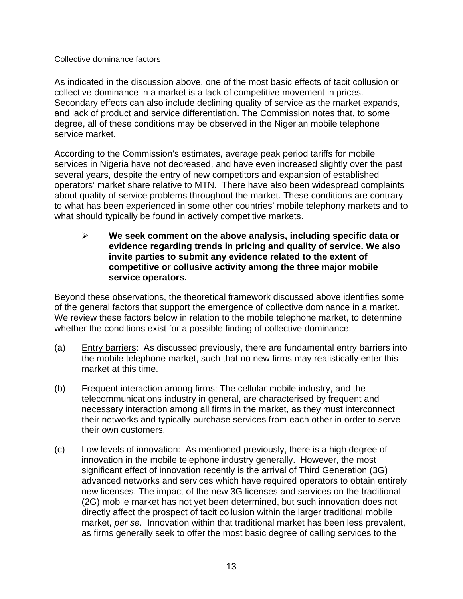#### Collective dominance factors

As indicated in the discussion above, one of the most basic effects of tacit collusion or collective dominance in a market is a lack of competitive movement in prices. Secondary effects can also include declining quality of service as the market expands, and lack of product and service differentiation. The Commission notes that, to some degree, all of these conditions may be observed in the Nigerian mobile telephone service market.

According to the Commission's estimates, average peak period tariffs for mobile services in Nigeria have not decreased, and have even increased slightly over the past several years, despite the entry of new competitors and expansion of established operators' market share relative to MTN. There have also been widespread complaints about quality of service problems throughout the market. These conditions are contrary to what has been experienced in some other countries' mobile telephony markets and to what should typically be found in actively competitive markets.

¾ **We seek comment on the above analysis, including specific data or evidence regarding trends in pricing and quality of service. We also invite parties to submit any evidence related to the extent of competitive or collusive activity among the three major mobile service operators.** 

Beyond these observations, the theoretical framework discussed above identifies some of the general factors that support the emergence of collective dominance in a market. We review these factors below in relation to the mobile telephone market, to determine whether the conditions exist for a possible finding of collective dominance:

- (a) Entry barriers: As discussed previously, there are fundamental entry barriers into the mobile telephone market, such that no new firms may realistically enter this market at this time.
- (b) Frequent interaction among firms: The cellular mobile industry, and the telecommunications industry in general, are characterised by frequent and necessary interaction among all firms in the market, as they must interconnect their networks and typically purchase services from each other in order to serve their own customers.
- (c) Low levels of innovation: As mentioned previously, there is a high degree of innovation in the mobile telephone industry generally. However, the most significant effect of innovation recently is the arrival of Third Generation (3G) advanced networks and services which have required operators to obtain entirely new licenses. The impact of the new 3G licenses and services on the traditional (2G) mobile market has not yet been determined, but such innovation does not directly affect the prospect of tacit collusion within the larger traditional mobile market, *per se*. Innovation within that traditional market has been less prevalent, as firms generally seek to offer the most basic degree of calling services to the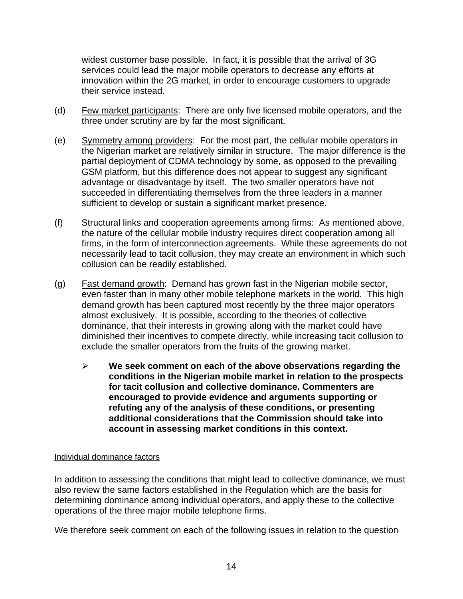widest customer base possible. In fact, it is possible that the arrival of 3G services could lead the major mobile operators to decrease any efforts at innovation within the 2G market, in order to encourage customers to upgrade their service instead.

- (d) Few market participants: There are only five licensed mobile operators, and the three under scrutiny are by far the most significant.
- (e) Symmetry among providers: For the most part, the cellular mobile operators in the Nigerian market are relatively similar in structure. The major difference is the partial deployment of CDMA technology by some, as opposed to the prevailing GSM platform, but this difference does not appear to suggest any significant advantage or disadvantage by itself. The two smaller operators have not succeeded in differentiating themselves from the three leaders in a manner sufficient to develop or sustain a significant market presence.
- (f) Structural links and cooperation agreements among firms: As mentioned above, the nature of the cellular mobile industry requires direct cooperation among all firms, in the form of interconnection agreements. While these agreements do not necessarily lead to tacit collusion, they may create an environment in which such collusion can be readily established.
- (g) Fast demand growth: Demand has grown fast in the Nigerian mobile sector, even faster than in many other mobile telephone markets in the world. This high demand growth has been captured most recently by the three major operators almost exclusively. It is possible, according to the theories of collective dominance, that their interests in growing along with the market could have diminished their incentives to compete directly, while increasing tacit collusion to exclude the smaller operators from the fruits of the growing market.
	- ¾ **We seek comment on each of the above observations regarding the conditions in the Nigerian mobile market in relation to the prospects for tacit collusion and collective dominance. Commenters are encouraged to provide evidence and arguments supporting or refuting any of the analysis of these conditions, or presenting additional considerations that the Commission should take into account in assessing market conditions in this context.**

#### Individual dominance factors

In addition to assessing the conditions that might lead to collective dominance, we must also review the same factors established in the Regulation which are the basis for determining dominance among individual operators, and apply these to the collective operations of the three major mobile telephone firms.

We therefore seek comment on each of the following issues in relation to the question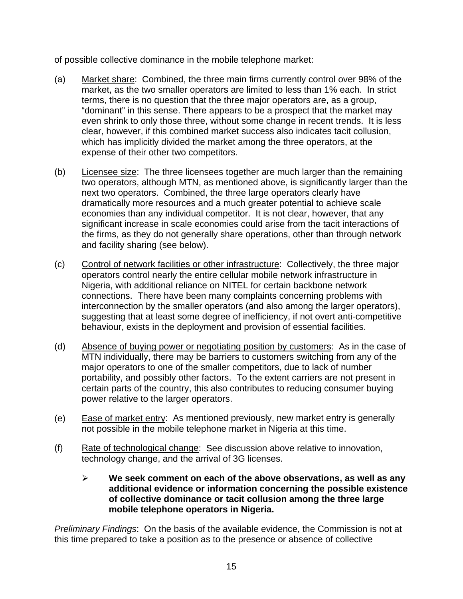of possible collective dominance in the mobile telephone market:

- (a) Market share: Combined, the three main firms currently control over 98% of the market, as the two smaller operators are limited to less than 1% each. In strict terms, there is no question that the three major operators are, as a group, "dominant" in this sense. There appears to be a prospect that the market may even shrink to only those three, without some change in recent trends. It is less clear, however, if this combined market success also indicates tacit collusion, which has implicitly divided the market among the three operators, at the expense of their other two competitors.
- (b) Licensee size: The three licensees together are much larger than the remaining two operators, although MTN, as mentioned above, is significantly larger than the next two operators. Combined, the three large operators clearly have dramatically more resources and a much greater potential to achieve scale economies than any individual competitor. It is not clear, however, that any significant increase in scale economies could arise from the tacit interactions of the firms, as they do not generally share operations, other than through network and facility sharing (see below).
- (c) Control of network facilities or other infrastructure: Collectively, the three major operators control nearly the entire cellular mobile network infrastructure in Nigeria, with additional reliance on NITEL for certain backbone network connections. There have been many complaints concerning problems with interconnection by the smaller operators (and also among the larger operators), suggesting that at least some degree of inefficiency, if not overt anti-competitive behaviour, exists in the deployment and provision of essential facilities.
- (d) Absence of buying power or negotiating position by customers: As in the case of MTN individually, there may be barriers to customers switching from any of the major operators to one of the smaller competitors, due to lack of number portability, and possibly other factors. To the extent carriers are not present in certain parts of the country, this also contributes to reducing consumer buying power relative to the larger operators.
- (e) Ease of market entry: As mentioned previously, new market entry is generally not possible in the mobile telephone market in Nigeria at this time.
- (f) Rate of technological change: See discussion above relative to innovation, technology change, and the arrival of 3G licenses.
	- ¾ **We seek comment on each of the above observations, as well as any additional evidence or information concerning the possible existence of collective dominance or tacit collusion among the three large mobile telephone operators in Nigeria.**

*Preliminary Findings*: On the basis of the available evidence, the Commission is not at this time prepared to take a position as to the presence or absence of collective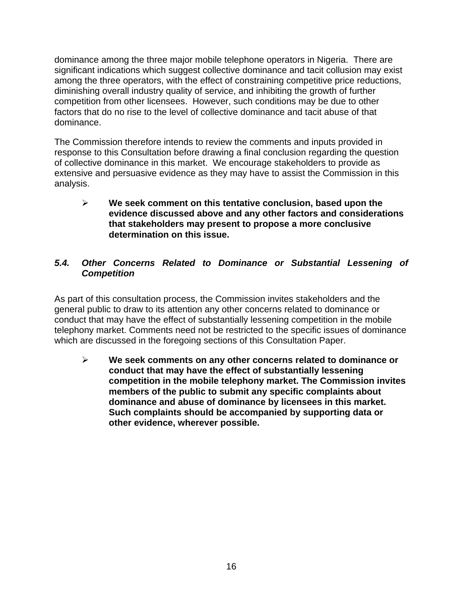dominance among the three major mobile telephone operators in Nigeria. There are significant indications which suggest collective dominance and tacit collusion may exist among the three operators, with the effect of constraining competitive price reductions, diminishing overall industry quality of service, and inhibiting the growth of further competition from other licensees. However, such conditions may be due to other factors that do no rise to the level of collective dominance and tacit abuse of that dominance.

The Commission therefore intends to review the comments and inputs provided in response to this Consultation before drawing a final conclusion regarding the question of collective dominance in this market. We encourage stakeholders to provide as extensive and persuasive evidence as they may have to assist the Commission in this analysis.

¾ **We seek comment on this tentative conclusion, based upon the evidence discussed above and any other factors and considerations that stakeholders may present to propose a more conclusive determination on this issue.** 

## *5.4. Other Concerns Related to Dominance or Substantial Lessening of Competition*

As part of this consultation process, the Commission invites stakeholders and the general public to draw to its attention any other concerns related to dominance or conduct that may have the effect of substantially lessening competition in the mobile telephony market. Comments need not be restricted to the specific issues of dominance which are discussed in the foregoing sections of this Consultation Paper.

¾ **We seek comments on any other concerns related to dominance or conduct that may have the effect of substantially lessening competition in the mobile telephony market. The Commission invites members of the public to submit any specific complaints about dominance and abuse of dominance by licensees in this market. Such complaints should be accompanied by supporting data or other evidence, wherever possible.**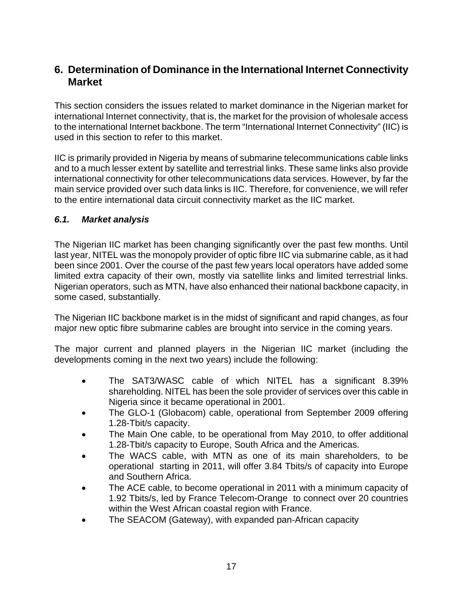# **6. Determination of Dominance in the International Internet Connectivity Market**

This section considers the issues related to market dominance in the Nigerian market for international Internet connectivity, that is, the market for the provision of wholesale access to the international Internet backbone. The term "International Internet Connectivity" (IIC) is used in this section to refer to this market.

IIC is primarily provided in Nigeria by means of submarine telecommunications cable links and to a much lesser extent by satellite and terrestrial links. These same links also provide international connectivity for other telecommunications data services. However, by far the main service provided over such data links is IIC. Therefore, for convenience, we will refer to the entire international data circuit connectivity market as the IIC market.

#### *6.1. Market analysis*

The Nigerian IIC market has been changing significantly over the past few months. Until last year, NITEL was the monopoly provider of optic fibre IIC via submarine cable, as it had been since 2001. Over the course of the past few years local operators have added some limited extra capacity of their own, mostly via satellite links and limited terrestrial links. Nigerian operators, such as MTN, have also enhanced their national backbone capacity, in some cased, substantially.

The Nigerian IIC backbone market is in the midst of significant and rapid changes, as four major new optic fibre submarine cables are brought into service in the coming years.

The major current and planned players in the Nigerian IIC market (including the developments coming in the next two years) include the following:

- The SAT3/WASC cable of which NITEL has a significant 8.39% shareholding. NITEL has been the sole provider of services over this cable in Nigeria since it became operational in 2001.
- The GLO-1 (Globacom) cable, operational from September 2009 offering 1.28-Tbit/s capacity.
- The Main One cable, to be operational from May 2010, to offer additional 1.28-Tbit/s capacity to Europe, South Africa and the Americas.
- The WACS cable, with MTN as one of its main shareholders, to be operational starting in 2011, will offer 3.84 Tbits/s of capacity into Europe and Southern Africa.
- The ACE cable, to become operational in 2011 with a minimum capacity of 1.92 Tbits/s, led by France Telecom-Orange to connect over 20 countries within the West African coastal region with France.
- The SEACOM (Gateway), with expanded pan-African capacity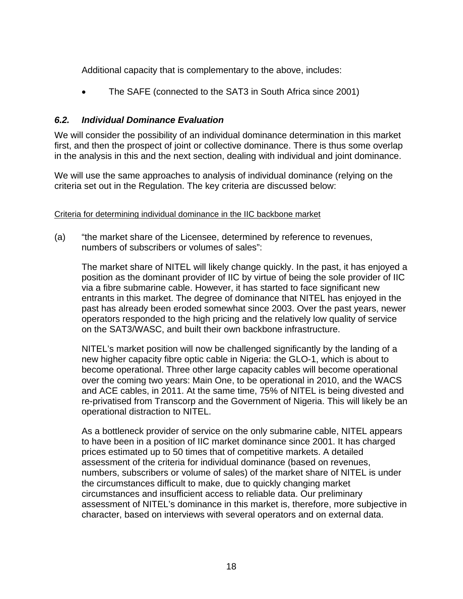Additional capacity that is complementary to the above, includes:

• The SAFE (connected to the SAT3 in South Africa since 2001)

## *6.2. Individual Dominance Evaluation*

We will consider the possibility of an individual dominance determination in this market first, and then the prospect of joint or collective dominance. There is thus some overlap in the analysis in this and the next section, dealing with individual and joint dominance.

We will use the same approaches to analysis of individual dominance (relying on the criteria set out in the Regulation. The key criteria are discussed below:

#### Criteria for determining individual dominance in the IIC backbone market

(a) "the market share of the Licensee, determined by reference to revenues, numbers of subscribers or volumes of sales":

The market share of NITEL will likely change quickly. In the past, it has enjoyed a position as the dominant provider of IIC by virtue of being the sole provider of IIC via a fibre submarine cable. However, it has started to face significant new entrants in this market. The degree of dominance that NITEL has enjoyed in the past has already been eroded somewhat since 2003. Over the past years, newer operators responded to the high pricing and the relatively low quality of service on the SAT3/WASC, and built their own backbone infrastructure.

NITEL's market position will now be challenged significantly by the landing of a new higher capacity fibre optic cable in Nigeria: the GLO-1, which is about to become operational. Three other large capacity cables will become operational over the coming two years: Main One, to be operational in 2010, and the WACS and ACE cables, in 2011. At the same time, 75% of NITEL is being divested and re-privatised from Transcorp and the Government of Nigeria. This will likely be an operational distraction to NITEL.

As a bottleneck provider of service on the only submarine cable, NITEL appears to have been in a position of IIC market dominance since 2001. It has charged prices estimated up to 50 times that of competitive markets. A detailed assessment of the criteria for individual dominance (based on revenues, numbers, subscribers or volume of sales) of the market share of NITEL is under the circumstances difficult to make, due to quickly changing market circumstances and insufficient access to reliable data. Our preliminary assessment of NITEL's dominance in this market is, therefore, more subjective in character, based on interviews with several operators and on external data.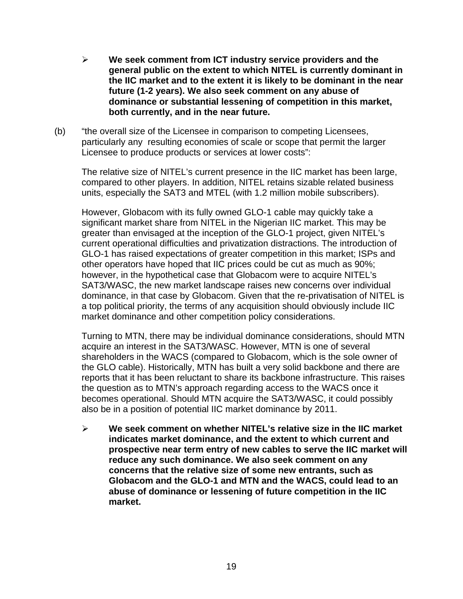- ¾ **We seek comment from ICT industry service providers and the general public on the extent to which NITEL is currently dominant in the IIC market and to the extent it is likely to be dominant in the near future (1-2 years). We also seek comment on any abuse of dominance or substantial lessening of competition in this market, both currently, and in the near future.**
- (b) "the overall size of the Licensee in comparison to competing Licensees, particularly any resulting economies of scale or scope that permit the larger Licensee to produce products or services at lower costs":

The relative size of NITEL's current presence in the IIC market has been large, compared to other players. In addition, NITEL retains sizable related business units, especially the SAT3 and MTEL (with 1.2 million mobile subscribers).

However, Globacom with its fully owned GLO-1 cable may quickly take a significant market share from NITEL in the Nigerian IIC market. This may be greater than envisaged at the inception of the GLO-1 project, given NITEL's current operational difficulties and privatization distractions. The introduction of GLO-1 has raised expectations of greater competition in this market; ISPs and other operators have hoped that IIC prices could be cut as much as 90%; however, in the hypothetical case that Globacom were to acquire NITEL's SAT3/WASC, the new market landscape raises new concerns over individual dominance, in that case by Globacom. Given that the re-privatisation of NITEL is a top political priority, the terms of any acquisition should obviously include IIC market dominance and other competition policy considerations.

Turning to MTN, there may be individual dominance considerations, should MTN acquire an interest in the SAT3/WASC. However, MTN is one of several shareholders in the WACS (compared to Globacom, which is the sole owner of the GLO cable). Historically, MTN has built a very solid backbone and there are reports that it has been reluctant to share its backbone infrastructure. This raises the question as to MTN's approach regarding access to the WACS once it becomes operational. Should MTN acquire the SAT3/WASC, it could possibly also be in a position of potential IIC market dominance by 2011.

¾ **We seek comment on whether NITEL's relative size in the IIC market indicates market dominance, and the extent to which current and prospective near term entry of new cables to serve the IIC market will reduce any such dominance. We also seek comment on any concerns that the relative size of some new entrants, such as Globacom and the GLO-1 and MTN and the WACS, could lead to an abuse of dominance or lessening of future competition in the IIC market.**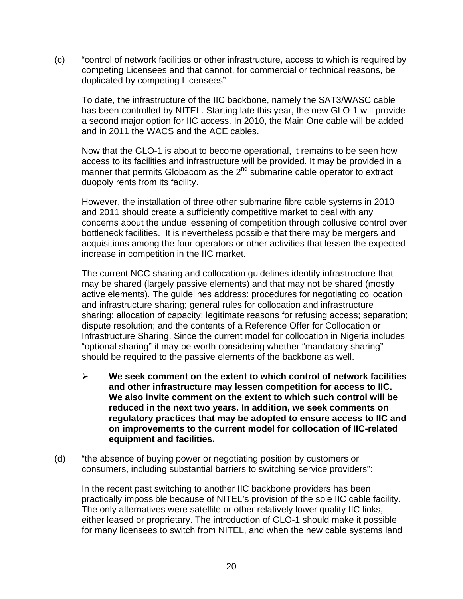(c) "control of network facilities or other infrastructure, access to which is required by competing Licensees and that cannot, for commercial or technical reasons, be duplicated by competing Licensees"

 To date, the infrastructure of the IIC backbone, namely the SAT3/WASC cable has been controlled by NITEL. Starting late this year, the new GLO-1 will provide a second major option for IIC access. In 2010, the Main One cable will be added and in 2011 the WACS and the ACE cables.

Now that the GLO-1 is about to become operational, it remains to be seen how access to its facilities and infrastructure will be provided. It may be provided in a manner that permits Globacom as the  $2^{nd}$  submarine cable operator to extract duopoly rents from its facility.

However, the installation of three other submarine fibre cable systems in 2010 and 2011 should create a sufficiently competitive market to deal with any concerns about the undue lessening of competition through collusive control over bottleneck facilities. It is nevertheless possible that there may be mergers and acquisitions among the four operators or other activities that lessen the expected increase in competition in the IIC market.

The current NCC sharing and collocation guidelines identify infrastructure that may be shared (largely passive elements) and that may not be shared (mostly active elements). The guidelines address: procedures for negotiating collocation and infrastructure sharing; general rules for collocation and infrastructure sharing; allocation of capacity; legitimate reasons for refusing access; separation; dispute resolution; and the contents of a Reference Offer for Collocation or Infrastructure Sharing. Since the current model for collocation in Nigeria includes "optional sharing" it may be worth considering whether "mandatory sharing" should be required to the passive elements of the backbone as well.

- ¾ **We seek comment on the extent to which control of network facilities and other infrastructure may lessen competition for access to IIC. We also invite comment on the extent to which such control will be reduced in the next two years. In addition, we seek comments on regulatory practices that may be adopted to ensure access to IIC and on improvements to the current model for collocation of IIC-related equipment and facilities.**
- (d) "the absence of buying power or negotiating position by customers or consumers, including substantial barriers to switching service providers":

 In the recent past switching to another IIC backbone providers has been practically impossible because of NITEL's provision of the sole IIC cable facility. The only alternatives were satellite or other relatively lower quality IIC links, either leased or proprietary. The introduction of GLO-1 should make it possible for many licensees to switch from NITEL, and when the new cable systems land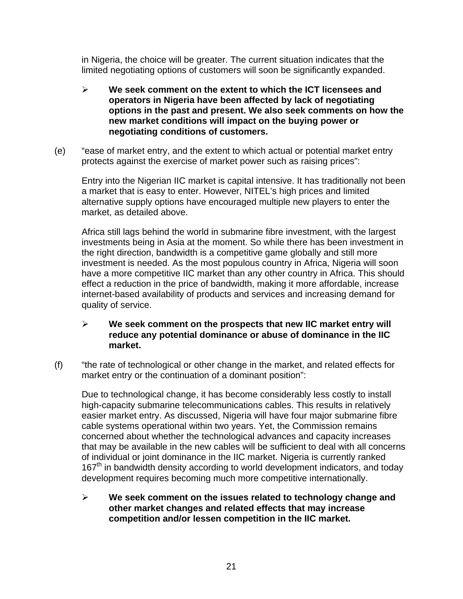in Nigeria, the choice will be greater. The current situation indicates that the limited negotiating options of customers will soon be significantly expanded.

- ¾ **We seek comment on the extent to which the ICT licensees and operators in Nigeria have been affected by lack of negotiating options in the past and present. We also seek comments on how the new market conditions will impact on the buying power or negotiating conditions of customers.**
- (e) "ease of market entry, and the extent to which actual or potential market entry protects against the exercise of market power such as raising prices":

Entry into the Nigerian IIC market is capital intensive. It has traditionally not been a market that is easy to enter. However, NITEL's high prices and limited alternative supply options have encouraged multiple new players to enter the market, as detailed above.

Africa still lags behind the world in submarine fibre investment, with the largest investments being in Asia at the moment. So while there has been investment in the right direction, bandwidth is a competitive game globally and still more investment is needed. As the most populous country in Africa, Nigeria will soon have a more competitive IIC market than any other country in Africa. This should effect a reduction in the price of bandwidth, making it more affordable, increase internet-based availability of products and services and increasing demand for quality of service.

#### ¾ **We seek comment on the prospects that new IIC market entry will reduce any potential dominance or abuse of dominance in the IIC market.**

(f) "the rate of technological or other change in the market, and related effects for market entry or the continuation of a dominant position":

Due to technological change, it has become considerably less costly to install high-capacity submarine telecommunications cables. This results in relatively easier market entry. As discussed, Nigeria will have four major submarine fibre cable systems operational within two years. Yet, the Commission remains concerned about whether the technological advances and capacity increases that may be available in the new cables will be sufficient to deal with all concerns of individual or joint dominance in the IIC market. Nigeria is currently ranked 167<sup>th</sup> in bandwidth density according to world development indicators, and today development requires becoming much more competitive internationally.

¾ **We seek comment on the issues related to technology change and other market changes and related effects that may increase competition and/or lessen competition in the IIC market.**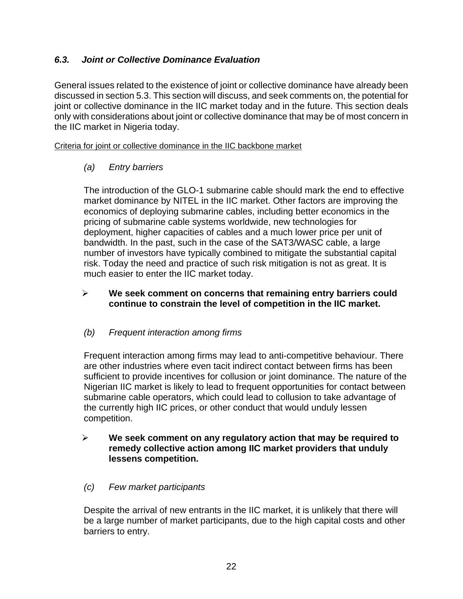## *6.3. Joint or Collective Dominance Evaluation*

General issues related to the existence of joint or collective dominance have already been discussed in section 5.3. This section will discuss, and seek comments on, the potential for joint or collective dominance in the IIC market today and in the future. This section deals only with considerations about joint or collective dominance that may be of most concern in the IIC market in Nigeria today.

Criteria for joint or collective dominance in the IIC backbone market

## *(a) Entry barriers*

The introduction of the GLO-1 submarine cable should mark the end to effective market dominance by NITEL in the IIC market. Other factors are improving the economics of deploying submarine cables, including better economics in the pricing of submarine cable systems worldwide, new technologies for deployment, higher capacities of cables and a much lower price per unit of bandwidth. In the past, such in the case of the SAT3/WASC cable, a large number of investors have typically combined to mitigate the substantial capital risk. Today the need and practice of such risk mitigation is not as great. It is much easier to enter the IIC market today.

## ¾ **We seek comment on concerns that remaining entry barriers could continue to constrain the level of competition in the IIC market.**

## *(b) Frequent interaction among firms*

Frequent interaction among firms may lead to anti-competitive behaviour. There are other industries where even tacit indirect contact between firms has been sufficient to provide incentives for collusion or joint dominance. The nature of the Nigerian IIC market is likely to lead to frequent opportunities for contact between submarine cable operators, which could lead to collusion to take advantage of the currently high IIC prices, or other conduct that would unduly lessen competition.

#### ¾ **We seek comment on any regulatory action that may be required to remedy collective action among IIC market providers that unduly lessens competition.**

## *(c) Few market participants*

Despite the arrival of new entrants in the IIC market, it is unlikely that there will be a large number of market participants, due to the high capital costs and other barriers to entry.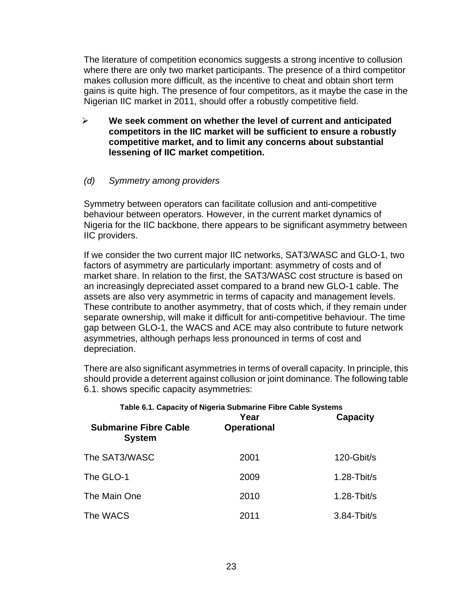The literature of competition economics suggests a strong incentive to collusion where there are only two market participants. The presence of a third competitor makes collusion more difficult, as the incentive to cheat and obtain short term gains is quite high. The presence of four competitors, as it maybe the case in the Nigerian IIC market in 2011, should offer a robustly competitive field.

¾ **We seek comment on whether the level of current and anticipated competitors in the IIC market will be sufficient to ensure a robustly competitive market, and to limit any concerns about substantial lessening of IIC market competition.** 

#### *(d) Symmetry among providers*

Symmetry between operators can facilitate collusion and anti-competitive behaviour between operators. However, in the current market dynamics of Nigeria for the IIC backbone, there appears to be significant asymmetry between IIC providers.

If we consider the two current major IIC networks, SAT3/WASC and GLO-1, two factors of asymmetry are particularly important: asymmetry of costs and of market share. In relation to the first, the SAT3/WASC cost structure is based on an increasingly depreciated asset compared to a brand new GLO-1 cable. The assets are also very asymmetric in terms of capacity and management levels. These contribute to another asymmetry, that of costs which, if they remain under separate ownership, will make it difficult for anti-competitive behaviour. The time gap between GLO-1, the WACS and ACE may also contribute to future network asymmetries, although perhaps less pronounced in terms of cost and depreciation.

There are also significant asymmetries in terms of overall capacity. In principle, this should provide a deterrent against collusion or joint dominance. The following table 6.1. shows specific capacity asymmetries:

| Table 6.1. Capacity of Nigeria Submarine Fibre Cable Systems<br>Year<br><b>Capacity</b> |                    |                        |  |  |  |
|-----------------------------------------------------------------------------------------|--------------------|------------------------|--|--|--|
| <b>Submarine Fibre Cable</b><br><b>System</b>                                           | <b>Operational</b> |                        |  |  |  |
| The SAT3/WASC                                                                           | 2001               | 120-Gbit/s             |  |  |  |
| The GLO-1                                                                               | 2009               | $1.28 - \text{Tbit/s}$ |  |  |  |
| The Main One                                                                            | 2010               | $1.28 - Tbit/s$        |  |  |  |
| The WACS                                                                                | 2011               | $3.84 - Tbit/s$        |  |  |  |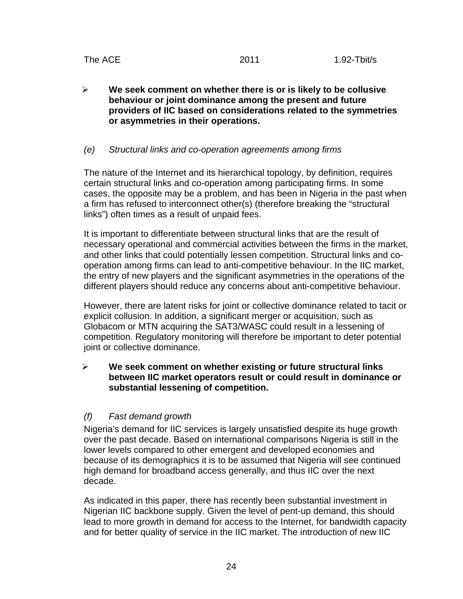¾ **We seek comment on whether there is or is likely to be collusive behaviour or joint dominance among the present and future providers of IIC based on considerations related to the symmetries or asymmetries in their operations.** 

#### *(e) Structural links and co-operation agreements among firms*

The nature of the Internet and its hierarchical topology, by definition, requires certain structural links and co-operation among participating firms. In some cases, the opposite may be a problem, and has been in Nigeria in the past when a firm has refused to interconnect other(s) (therefore breaking the "structural links") often times as a result of unpaid fees.

It is important to differentiate between structural links that are the result of necessary operational and commercial activities between the firms in the market, and other links that could potentially lessen competition. Structural links and cooperation among firms can lead to anti-competitive behaviour. In the IIC market, the entry of new players and the significant asymmetries in the operations of the different players should reduce any concerns about anti-competitive behaviour.

However, there are latent risks for joint or collective dominance related to tacit or explicit collusion. In addition, a significant merger or acquisition, such as Globacom or MTN acquiring the SAT3/WASC could result in a lessening of competition. Regulatory monitoring will therefore be important to deter potential joint or collective dominance.

#### ¾ **We seek comment on whether existing or future structural links between IIC market operators result or could result in dominance or substantial lessening of competition.**

#### *(f) Fast demand growth*

Nigeria's demand for IIC services is largely unsatisfied despite its huge growth over the past decade. Based on international comparisons Nigeria is still in the lower levels compared to other emergent and developed economies and because of its demographics it is to be assumed that Nigeria will see continued high demand for broadband access generally, and thus IIC over the next decade.

As indicated in this paper, there has recently been substantial investment in Nigerian IIC backbone supply. Given the level of pent-up demand, this should lead to more growth in demand for access to the Internet, for bandwidth capacity and for better quality of service in the IIC market. The introduction of new IIC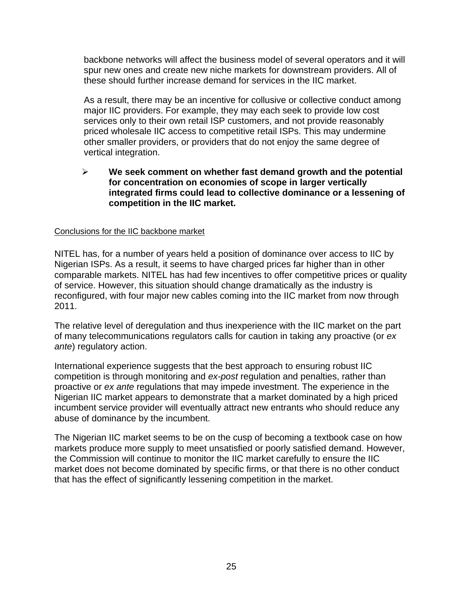backbone networks will affect the business model of several operators and it will spur new ones and create new niche markets for downstream providers. All of these should further increase demand for services in the IIC market.

As a result, there may be an incentive for collusive or collective conduct among major IIC providers. For example, they may each seek to provide low cost services only to their own retail ISP customers, and not provide reasonably priced wholesale IIC access to competitive retail ISPs. This may undermine other smaller providers, or providers that do not enjoy the same degree of vertical integration.

#### ¾ **We seek comment on whether fast demand growth and the potential for concentration on economies of scope in larger vertically integrated firms could lead to collective dominance or a lessening of competition in the IIC market.**

#### Conclusions for the IIC backbone market

NITEL has, for a number of years held a position of dominance over access to IIC by Nigerian ISPs. As a result, it seems to have charged prices far higher than in other comparable markets. NITEL has had few incentives to offer competitive prices or quality of service. However, this situation should change dramatically as the industry is reconfigured, with four major new cables coming into the IIC market from now through 2011.

The relative level of deregulation and thus inexperience with the IIC market on the part of many telecommunications regulators calls for caution in taking any proactive (or *ex ante*) regulatory action.

International experience suggests that the best approach to ensuring robust IIC competition is through monitoring and *ex-post* regulation and penalties, rather than proactive or *ex ante* regulations that may impede investment. The experience in the Nigerian IIC market appears to demonstrate that a market dominated by a high priced incumbent service provider will eventually attract new entrants who should reduce any abuse of dominance by the incumbent.

The Nigerian IIC market seems to be on the cusp of becoming a textbook case on how markets produce more supply to meet unsatisfied or poorly satisfied demand. However, the Commission will continue to monitor the IIC market carefully to ensure the IIC market does not become dominated by specific firms, or that there is no other conduct that has the effect of significantly lessening competition in the market.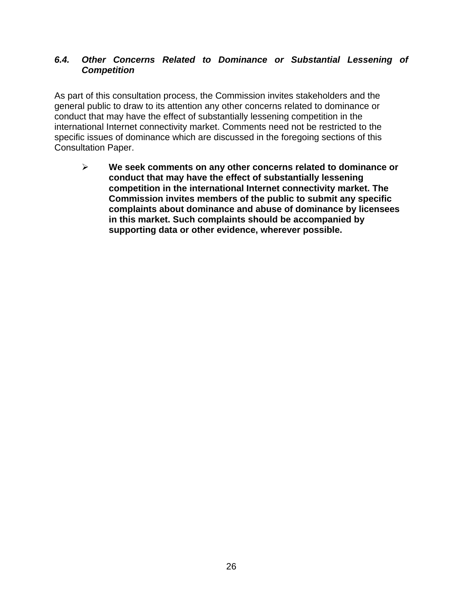#### *6.4. Other Concerns Related to Dominance or Substantial Lessening of Competition*

As part of this consultation process, the Commission invites stakeholders and the general public to draw to its attention any other concerns related to dominance or conduct that may have the effect of substantially lessening competition in the international Internet connectivity market. Comments need not be restricted to the specific issues of dominance which are discussed in the foregoing sections of this Consultation Paper.

¾ **We seek comments on any other concerns related to dominance or conduct that may have the effect of substantially lessening competition in the international Internet connectivity market. The Commission invites members of the public to submit any specific complaints about dominance and abuse of dominance by licensees in this market. Such complaints should be accompanied by supporting data or other evidence, wherever possible.**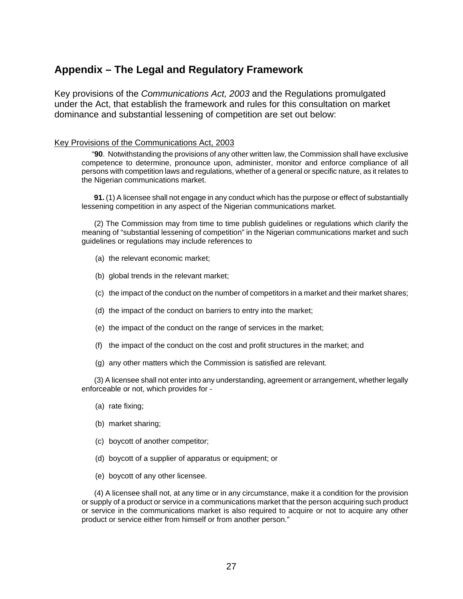## **Appendix – The Legal and Regulatory Framework**

Key provisions of the *Communications Act, 2003* and the Regulations promulgated under the Act, that establish the framework and rules for this consultation on market dominance and substantial lessening of competition are set out below:

#### Key Provisions of the Communications Act, 2003

 "**90**. Notwithstanding the provisions of any other written law, the Commission shall have exclusive competence to determine, pronounce upon, administer, monitor and enforce compliance of all persons with competition laws and regulations, whether of a general or specific nature, as it relates to the Nigerian communications market.

 **91.** (1) A licensee shall not engage in any conduct which has the purpose or effect of substantially lessening competition in any aspect of the Nigerian communications market.

 (2) The Commission may from time to time publish guidelines or regulations which clarify the meaning of "substantial lessening of competition" in the Nigerian communications market and such guidelines or regulations may include references to

- (a) the relevant economic market;
- (b) global trends in the relevant market;
- (c) the impact of the conduct on the number of competitors in a market and their market shares;
- (d) the impact of the conduct on barriers to entry into the market;
- (e) the impact of the conduct on the range of services in the market;
- (f) the impact of the conduct on the cost and profit structures in the market; and
- (g) any other matters which the Commission is satisfied are relevant.

 (3) A licensee shall not enter into any understanding, agreement or arrangement, whether legally enforceable or not, which provides for -

- (a) rate fixing;
- (b) market sharing;
- (c) boycott of another competitor;
- (d) boycott of a supplier of apparatus or equipment; or
- (e) boycott of any other licensee.

 (4) A licensee shall not, at any time or in any circumstance, make it a condition for the provision or supply of a product or service in a communications market that the person acquiring such product or service in the communications market is also required to acquire or not to acquire any other product or service either from himself or from another person."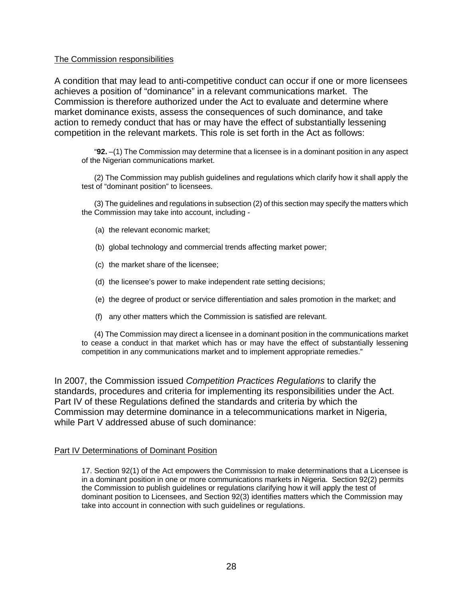#### The Commission responsibilities

A condition that may lead to anti-competitive conduct can occur if one or more licensees achieves a position of "dominance" in a relevant communications market. The Commission is therefore authorized under the Act to evaluate and determine where market dominance exists, assess the consequences of such dominance, and take action to remedy conduct that has or may have the effect of substantially lessening competition in the relevant markets. This role is set forth in the Act as follows:

"**92.** –(1) The Commission may determine that a licensee is in a dominant position in any aspect of the Nigerian communications market.

 (2) The Commission may publish guidelines and regulations which clarify how it shall apply the test of "dominant position" to licensees.

 (3) The guidelines and regulations in subsection (2) of this section may specify the matters which the Commission may take into account, including -

- (a) the relevant economic market;
- (b) global technology and commercial trends affecting market power;
- (c) the market share of the licensee;
- (d) the licensee's power to make independent rate setting decisions;
- (e) the degree of product or service differentiation and sales promotion in the market; and
- (f) any other matters which the Commission is satisfied are relevant.

 (4) The Commission may direct a licensee in a dominant position in the communications market to cease a conduct in that market which has or may have the effect of substantially lessening competition in any communications market and to implement appropriate remedies."

In 2007, the Commission issued *Competition Practices Regulations* to clarify the standards, procedures and criteria for implementing its responsibilities under the Act. Part IV of these Regulations defined the standards and criteria by which the Commission may determine dominance in a telecommunications market in Nigeria, while Part V addressed abuse of such dominance:

#### Part IV Determinations of Dominant Position

17. Section 92(1) of the Act empowers the Commission to make determinations that a Licensee is in a dominant position in one or more communications markets in Nigeria. Section 92(2) permits the Commission to publish guidelines or regulations clarifying how it will apply the test of dominant position to Licensees, and Section 92(3) identifies matters which the Commission may take into account in connection with such guidelines or regulations.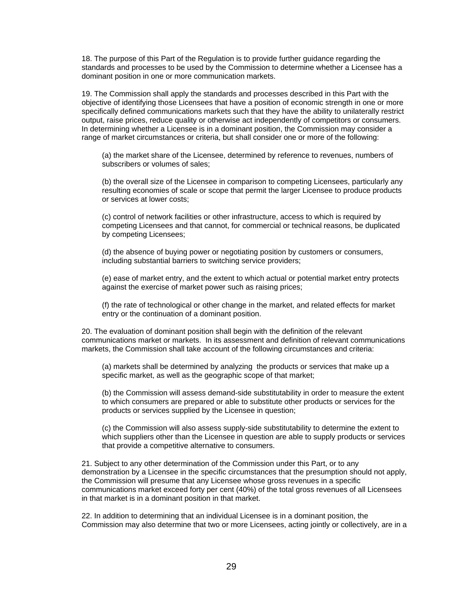18. The purpose of this Part of the Regulation is to provide further guidance regarding the standards and processes to be used by the Commission to determine whether a Licensee has a dominant position in one or more communication markets.

19. The Commission shall apply the standards and processes described in this Part with the objective of identifying those Licensees that have a position of economic strength in one or more specifically defined communications markets such that they have the ability to unilaterally restrict output, raise prices, reduce quality or otherwise act independently of competitors or consumers. In determining whether a Licensee is in a dominant position, the Commission may consider a range of market circumstances or criteria, but shall consider one or more of the following:

(a) the market share of the Licensee, determined by reference to revenues, numbers of subscribers or volumes of sales;

(b) the overall size of the Licensee in comparison to competing Licensees, particularly any resulting economies of scale or scope that permit the larger Licensee to produce products or services at lower costs;

(c) control of network facilities or other infrastructure, access to which is required by competing Licensees and that cannot, for commercial or technical reasons, be duplicated by competing Licensees;

(d) the absence of buying power or negotiating position by customers or consumers, including substantial barriers to switching service providers;

(e) ease of market entry, and the extent to which actual or potential market entry protects against the exercise of market power such as raising prices;

(f) the rate of technological or other change in the market, and related effects for market entry or the continuation of a dominant position.

20. The evaluation of dominant position shall begin with the definition of the relevant communications market or markets. In its assessment and definition of relevant communications markets, the Commission shall take account of the following circumstances and criteria:

(a) markets shall be determined by analyzing the products or services that make up a specific market, as well as the geographic scope of that market;

(b) the Commission will assess demand-side substitutability in order to measure the extent to which consumers are prepared or able to substitute other products or services for the products or services supplied by the Licensee in question;

(c) the Commission will also assess supply-side substitutability to determine the extent to which suppliers other than the Licensee in question are able to supply products or services that provide a competitive alternative to consumers.

21. Subject to any other determination of the Commission under this Part, or to any demonstration by a Licensee in the specific circumstances that the presumption should not apply, the Commission will presume that any Licensee whose gross revenues in a specific communications market exceed forty per cent (40%) of the total gross revenues of all Licensees in that market is in a dominant position in that market.

22. In addition to determining that an individual Licensee is in a dominant position, the Commission may also determine that two or more Licensees, acting jointly or collectively, are in a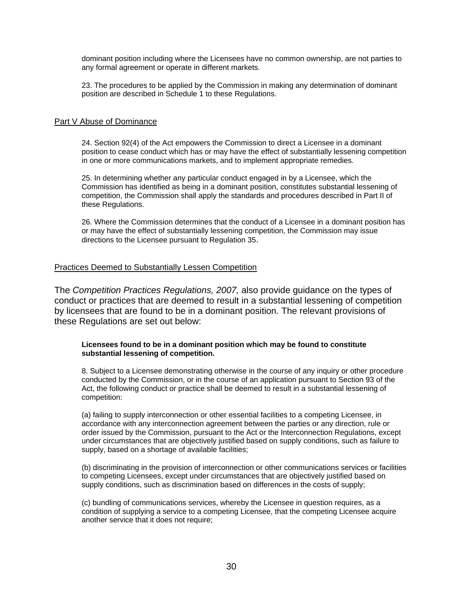dominant position including where the Licensees have no common ownership, are not parties to any formal agreement or operate in different markets.

23. The procedures to be applied by the Commission in making any determination of dominant position are described in Schedule 1 to these Regulations.

#### Part V Abuse of Dominance

24. Section 92(4) of the Act empowers the Commission to direct a Licensee in a dominant position to cease conduct which has or may have the effect of substantially lessening competition in one or more communications markets, and to implement appropriate remedies.

25. In determining whether any particular conduct engaged in by a Licensee, which the Commission has identified as being in a dominant position, constitutes substantial lessening of competition, the Commission shall apply the standards and procedures described in Part II of these Regulations.

26. Where the Commission determines that the conduct of a Licensee in a dominant position has or may have the effect of substantially lessening competition, the Commission may issue directions to the Licensee pursuant to Regulation 35.

#### Practices Deemed to Substantially Lessen Competition

The *Competition Practices Regulations, 2007,* also provide guidance on the types of conduct or practices that are deemed to result in a substantial lessening of competition by licensees that are found to be in a dominant position. The relevant provisions of these Regulations are set out below:

#### **Licensees found to be in a dominant position which may be found to constitute substantial lessening of competition.**

8. Subject to a Licensee demonstrating otherwise in the course of any inquiry or other procedure conducted by the Commission, or in the course of an application pursuant to Section 93 of the Act, the following conduct or practice shall be deemed to result in a substantial lessening of competition:

(a) failing to supply interconnection or other essential facilities to a competing Licensee, in accordance with any interconnection agreement between the parties or any direction, rule or order issued by the Commission, pursuant to the Act or the Interconnection Regulations, except under circumstances that are objectively justified based on supply conditions, such as failure to supply, based on a shortage of available facilities;

(b) discriminating in the provision of interconnection or other communications services or facilities to competing Licensees, except under circumstances that are objectively justified based on supply conditions, such as discrimination based on differences in the costs of supply;

(c) bundling of communications services, whereby the Licensee in question requires, as a condition of supplying a service to a competing Licensee, that the competing Licensee acquire another service that it does not require;